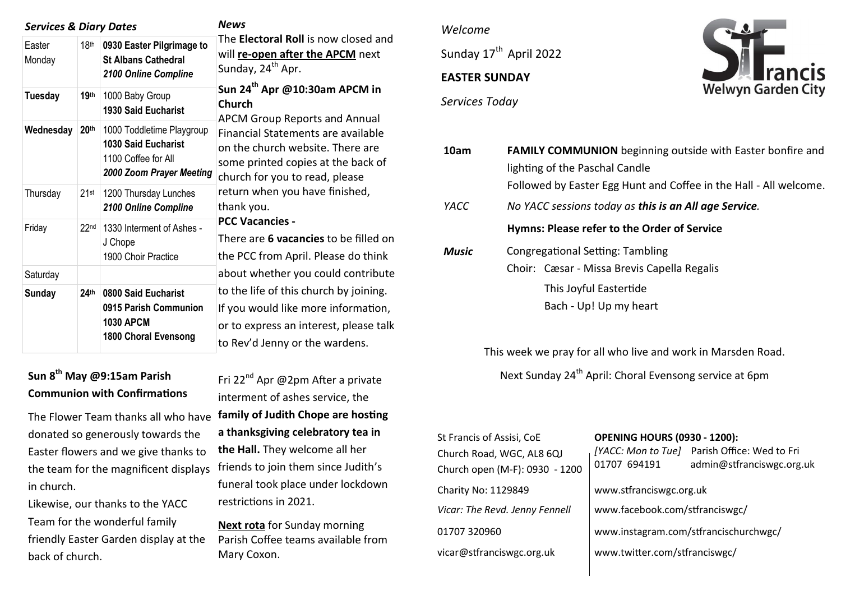| <b>Services &amp; Diary Dates</b> |                  |                                                                                                            | <b>News</b><br>The Electoral Roll is now closed and<br>will re-open after the APCM next<br>Sunday, 24 <sup>th</sup> Apr.                                                                                                                                                                                  |  |
|-----------------------------------|------------------|------------------------------------------------------------------------------------------------------------|-----------------------------------------------------------------------------------------------------------------------------------------------------------------------------------------------------------------------------------------------------------------------------------------------------------|--|
| Easter<br>Monday                  | 18 <sup>th</sup> | 0930 Easter Pilgrimage to<br><b>St Albans Cathedral</b><br>2100 Online Compline                            |                                                                                                                                                                                                                                                                                                           |  |
| <b>Tuesday</b>                    | 19 <sup>th</sup> | 1000 Baby Group<br><b>1930 Said Eucharist</b>                                                              | Sun 24 <sup>th</sup> Apr @10:30am APCM in<br><b>Church</b><br><b>APCM Group Reports and Annual</b><br>Financial Statements are available<br>on the church website. There are<br>some printed copies at the back of<br>church for you to read, please<br>return when you have finished,<br>thank you.      |  |
| Wednesday                         | 20 <sup>th</sup> | 1000 Toddletime Playgroup<br><b>1030 Said Eucharist</b><br>1100 Coffee for All<br>2000 Zoom Prayer Meeting |                                                                                                                                                                                                                                                                                                           |  |
| Thursday                          | $21$ st          | 1200 Thursday Lunches<br>2100 Online Compline                                                              |                                                                                                                                                                                                                                                                                                           |  |
| Friday                            | 22 <sub>nd</sub> | 1330 Interment of Ashes -<br>J Chope<br>1900 Choir Practice                                                | <b>PCC Vacancies -</b><br>There are 6 vacancies to be filled on<br>the PCC from April. Please do think<br>about whether you could contribute<br>to the life of this church by joining.<br>If you would like more information,<br>or to express an interest, please talk<br>to Rev'd Jenny or the wardens. |  |
| Saturday                          |                  |                                                                                                            |                                                                                                                                                                                                                                                                                                           |  |
| <b>Sunday</b>                     | 24 <sup>th</sup> | 0800 Said Eucharist<br>0915 Parish Communion<br><b>1030 APCM</b><br>1800 Choral Evensong                   |                                                                                                                                                                                                                                                                                                           |  |

# **Sun 8th May @9:15am Parish Communion with Confirmations**

The Flower Team thanks all who have donated so generously towards the Easter flowers and we give thanks to the team for the magnificent displays friends to join them since Judith's in church.

Likewise, our thanks to the YACC Team for the wonderful family friendly Easter Garden display at the back of church.

Fri 22<sup>nd</sup> Apr @2pm After a private interment of ashes service, the **family of Judith Chope are hosting a thanksgiving celebratory tea in the Hall.** They welcome all her funeral took place under lockdown restrictions in 2021.

**Next rota** for Sunday morning Parish Coffee teams available from Mary Coxon.

### *Welcome*

Sunday 17<sup>th</sup> April 2022

## **EASTER SUNDAY**

*Services Today*



| 10am         | <b>FAMILY COMMUNION</b> beginning outside with Easter bonfire and |  |  |  |  |
|--------------|-------------------------------------------------------------------|--|--|--|--|
|              | lighting of the Paschal Candle                                    |  |  |  |  |
|              | Followed by Easter Egg Hunt and Coffee in the Hall - All welcome. |  |  |  |  |
| YACC         | No YACC sessions today as this is an All age Service.             |  |  |  |  |
|              | Hymns: Please refer to the Order of Service                       |  |  |  |  |
| <b>Music</b> | <b>Congregational Setting: Tambling</b>                           |  |  |  |  |
|              | Choir: Cæsar - Missa Brevis Capella Regalis                       |  |  |  |  |
|              | This Joyful Eastertide                                            |  |  |  |  |
|              | Bach - Up! Up my heart                                            |  |  |  |  |

This week we pray for all who live and work in Marsden Road. Next Sunday 24<sup>th</sup> April: Choral Evensong service at 6pm

| St Francis of Assisi, CoE<br>Church Road, WGC, AL8 6QJ<br>Church open (M-F): 0930 - 1200 | <b>OPENING HOURS (0930 - 1200):</b><br>01707 694191 | [YACC: Mon to Tue] Parish Office: Wed to Fri<br>admin@stfranciswgc.org.uk |  |
|------------------------------------------------------------------------------------------|-----------------------------------------------------|---------------------------------------------------------------------------|--|
| Charity No: 1129849                                                                      | www.stfranciswgc.org.uk                             |                                                                           |  |
| Vicar: The Revd. Jenny Fennell                                                           | www.facebook.com/stfranciswgc/                      |                                                                           |  |
| 01707 320960                                                                             | www.instagram.com/stfrancischurchwgc/               |                                                                           |  |
| vicar@stfranciswgc.org.uk                                                                | www.twitter.com/stfranciswgc/                       |                                                                           |  |